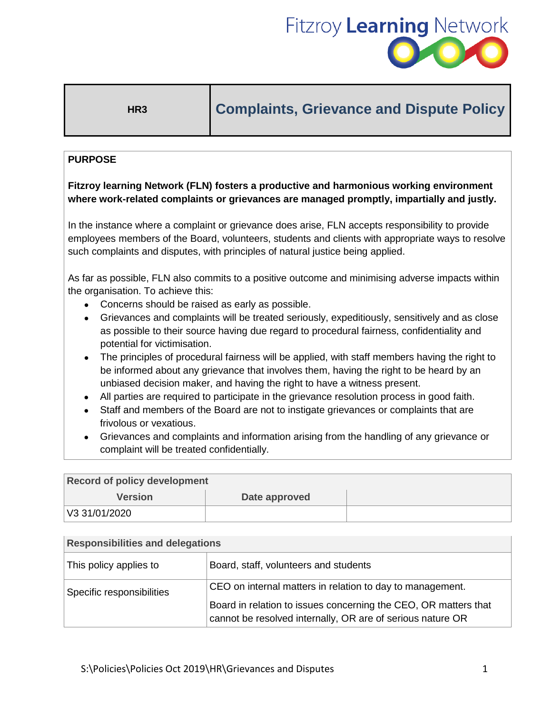

# **HR3 Complaints, Grievance and Dispute Policy**

### **PURPOSE**

## **Fitzroy learning Network (FLN) fosters a productive and harmonious working environment where work-related complaints or grievances are managed promptly, impartially and justly.**

In the instance where a complaint or grievance does arise, FLN accepts responsibility to provide employees members of the Board, volunteers, students and clients with appropriate ways to resolve such complaints and disputes, with principles of natural justice being applied.

As far as possible, FLN also commits to a positive outcome and minimising adverse impacts within the organisation. To achieve this:

- Concerns should be raised as early as possible.
- Grievances and complaints will be treated seriously, expeditiously, sensitively and as close as possible to their source having due regard to procedural fairness, confidentiality and potential for victimisation.
- The principles of procedural fairness will be applied, with staff members having the right to be informed about any grievance that involves them, having the right to be heard by an unbiased decision maker, and having the right to have a witness present.
- All parties are required to participate in the grievance resolution process in good faith.
- Staff and members of the Board are not to instigate grievances or complaints that are frivolous or vexatious.
- Grievances and complaints and information arising from the handling of any grievance or complaint will be treated confidentially.

| <b>Record of policy development</b> |               |  |  |
|-------------------------------------|---------------|--|--|
| <b>Version</b>                      | Date approved |  |  |
| V3 31/01/2020                       |               |  |  |

| <b>Responsibilities and delegations</b> |                                                                                                                               |  |
|-----------------------------------------|-------------------------------------------------------------------------------------------------------------------------------|--|
| This policy applies to                  | Board, staff, volunteers and students                                                                                         |  |
| Specific responsibilities               | CEO on internal matters in relation to day to management.                                                                     |  |
|                                         | Board in relation to issues concerning the CEO, OR matters that<br>cannot be resolved internally, OR are of serious nature OR |  |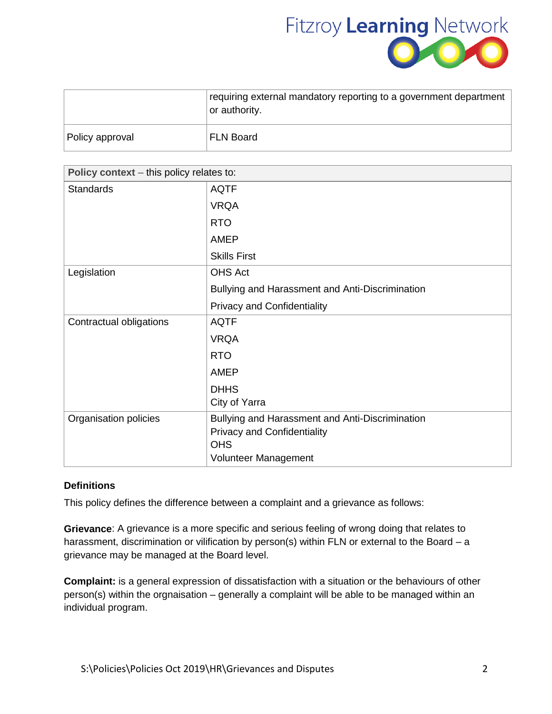

|                 | requiring external mandatory reporting to a government department<br>or authority. |
|-----------------|------------------------------------------------------------------------------------|
| Policy approval | <b>FLN Board</b>                                                                   |

| Policy context - this policy relates to: |                                                  |  |
|------------------------------------------|--------------------------------------------------|--|
| <b>Standards</b>                         | <b>AQTF</b>                                      |  |
|                                          | <b>VRQA</b>                                      |  |
|                                          | <b>RTO</b>                                       |  |
|                                          | <b>AMEP</b>                                      |  |
|                                          | <b>Skills First</b>                              |  |
| Legislation                              | <b>OHS Act</b>                                   |  |
|                                          | Bullying and Harassment and Anti-Discrimination  |  |
|                                          | <b>Privacy and Confidentiality</b>               |  |
| Contractual obligations                  | <b>AQTF</b>                                      |  |
|                                          | <b>VRQA</b>                                      |  |
|                                          | <b>RTO</b>                                       |  |
|                                          | <b>AMEP</b>                                      |  |
|                                          | <b>DHHS</b>                                      |  |
|                                          | City of Yarra                                    |  |
| Organisation policies                    | Bullying and Harassment and Anti-Discrimination  |  |
|                                          | <b>Privacy and Confidentiality</b><br><b>OHS</b> |  |
|                                          | Volunteer Management                             |  |

#### **Definitions**

This policy defines the difference between a complaint and a grievance as follows:

**Grievance**: A grievance is a more specific and serious feeling of wrong doing that relates to harassment, discrimination or vilification by person(s) within FLN or external to the Board – a grievance may be managed at the Board level.

**Complaint:** is a general expression of dissatisfaction with a situation or the behaviours of other person(s) within the orgnaisation – generally a complaint will be able to be managed within an individual program.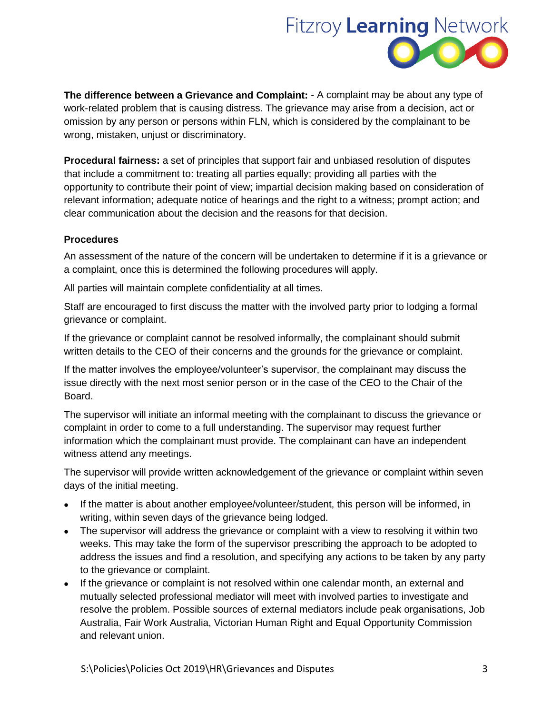

**The difference between a Grievance and Complaint:** - A complaint may be about any type of work-related problem that is causing distress. The grievance may arise from a decision, act or omission by any person or persons within FLN, which is considered by the complainant to be wrong, mistaken, unjust or discriminatory.

**Procedural fairness:** a set of principles that support fair and unbiased resolution of disputes that include a commitment to: treating all parties equally; providing all parties with the opportunity to contribute their point of view; impartial decision making based on consideration of relevant information; adequate notice of hearings and the right to a witness; prompt action; and clear communication about the decision and the reasons for that decision.

#### **Procedures**

An assessment of the nature of the concern will be undertaken to determine if it is a grievance or a complaint, once this is determined the following procedures will apply.

All parties will maintain complete confidentiality at all times.

Staff are encouraged to first discuss the matter with the involved party prior to lodging a formal grievance or complaint.

If the grievance or complaint cannot be resolved informally, the complainant should submit written details to the CEO of their concerns and the grounds for the grievance or complaint.

If the matter involves the employee/volunteer's supervisor, the complainant may discuss the issue directly with the next most senior person or in the case of the CEO to the Chair of the Board.

The supervisor will initiate an informal meeting with the complainant to discuss the grievance or complaint in order to come to a full understanding. The supervisor may request further information which the complainant must provide. The complainant can have an independent witness attend any meetings.

The supervisor will provide written acknowledgement of the grievance or complaint within seven days of the initial meeting.

- If the matter is about another employee/volunteer/student, this person will be informed, in writing, within seven days of the grievance being lodged.
- The supervisor will address the grievance or complaint with a view to resolving it within two weeks. This may take the form of the supervisor prescribing the approach to be adopted to address the issues and find a resolution, and specifying any actions to be taken by any party to the grievance or complaint.
- If the grievance or complaint is not resolved within one calendar month, an external and mutually selected professional mediator will meet with involved parties to investigate and resolve the problem. Possible sources of external mediators include peak organisations, Job Australia, Fair Work Australia, Victorian Human Right and Equal Opportunity Commission and relevant union.